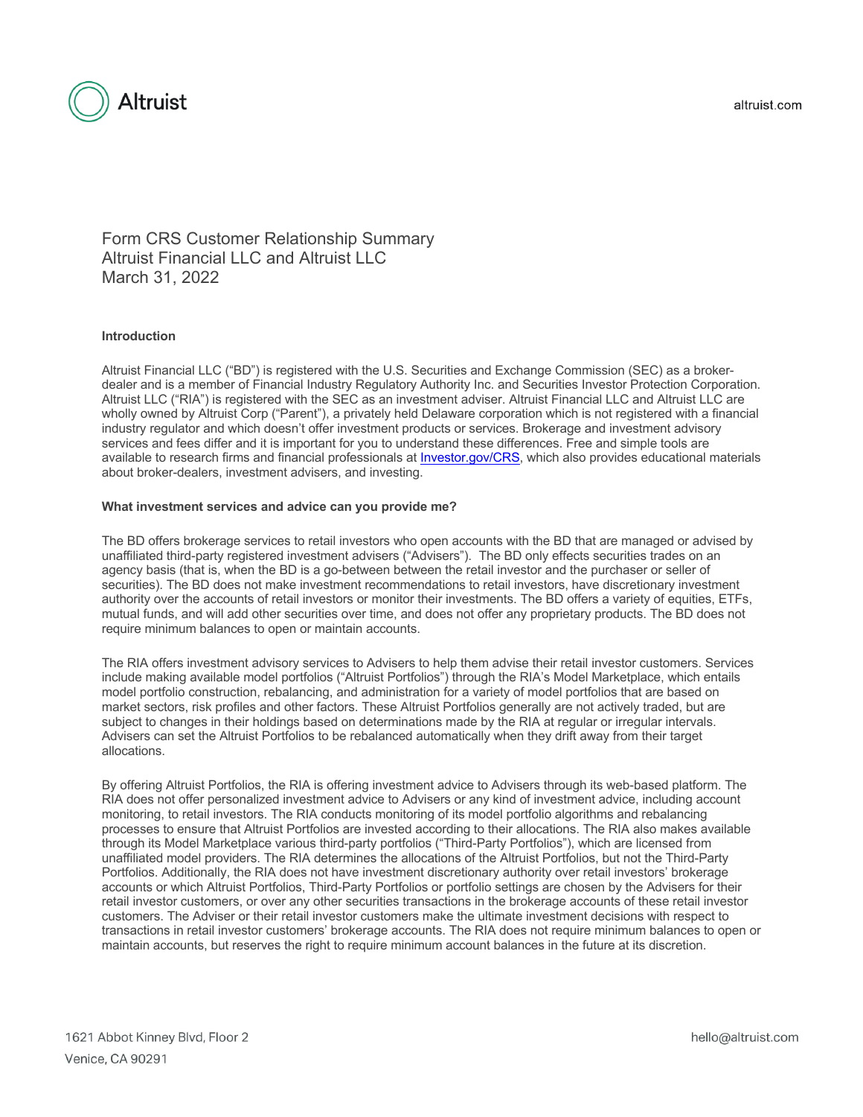

Form CRS Customer Relationship Summary Altruist Financial LLC and Altruist LLC March 31, 2022

# **Introduction**

Altruist Financial LLC ("BD") is registered with the U.S. Securities and Exchange Commission (SEC) as a brokerdealer and is a member of Financial Industry Regulatory Authority Inc. and Securities Investor Protection Corporation. Altruist LLC ("RIA") is registered with the SEC as an investment adviser. Altruist Financial LLC and Altruist LLC are wholly owned by Altruist Corp ("Parent"), a privately held Delaware corporation which is not registered with a financial industry regulator and which doesn't offer investment products or services. Brokerage and investment advisory services and fees differ and it is important for you to understand these differences. Free and simple tools are available to research firms and financial professionals at Investor.gov/CRS, which also provides educational materials about broker-dealers, investment advisers, and investing.

### **What investment services and advice can you provide me?**

The BD offers brokerage services to retail investors who open accounts with the BD that are managed or advised by unaffiliated third-party registered investment advisers ("Advisers"). The BD only effects securities trades on an agency basis (that is, when the BD is a go-between between the retail investor and the purchaser or seller of securities). The BD does not make investment recommendations to retail investors, have discretionary investment authority over the accounts of retail investors or monitor their investments. The BD offers a variety of equities, ETFs, mutual funds, and will add other securities over time, and does not offer any proprietary products. The BD does not require minimum balances to open or maintain accounts.

The RIA offers investment advisory services to Advisers to help them advise their retail investor customers. Services include making available model portfolios ("Altruist Portfolios") through the RIA's Model Marketplace, which entails model portfolio construction, rebalancing, and administration for a variety of model portfolios that are based on market sectors, risk profiles and other factors. These Altruist Portfolios generally are not actively traded, but are subject to changes in their holdings based on determinations made by the RIA at regular or irregular intervals. Advisers can set the Altruist Portfolios to be rebalanced automatically when they drift away from their target allocations.

By offering Altruist Portfolios, the RIA is offering investment advice to Advisers through its web-based platform. The RIA does not offer personalized investment advice to Advisers or any kind of investment advice, including account monitoring, to retail investors. The RIA conducts monitoring of its model portfolio algorithms and rebalancing processes to ensure that Altruist Portfolios are invested according to their allocations. The RIA also makes available through its Model Marketplace various third-party portfolios ("Third-Party Portfolios"), which are licensed from unaffiliated model providers. The RIA determines the allocations of the Altruist Portfolios, but not the Third-Party Portfolios. Additionally, the RIA does not have investment discretionary authority over retail investors' brokerage accounts or which Altruist Portfolios, Third-Party Portfolios or portfolio settings are chosen by the Advisers for their retail investor customers, or over any other securities transactions in the brokerage accounts of these retail investor customers. The Adviser or their retail investor customers make the ultimate investment decisions with respect to transactions in retail investor customers' brokerage accounts. The RIA does not require minimum balances to open or maintain accounts, but reserves the right to require minimum account balances in the future at its discretion.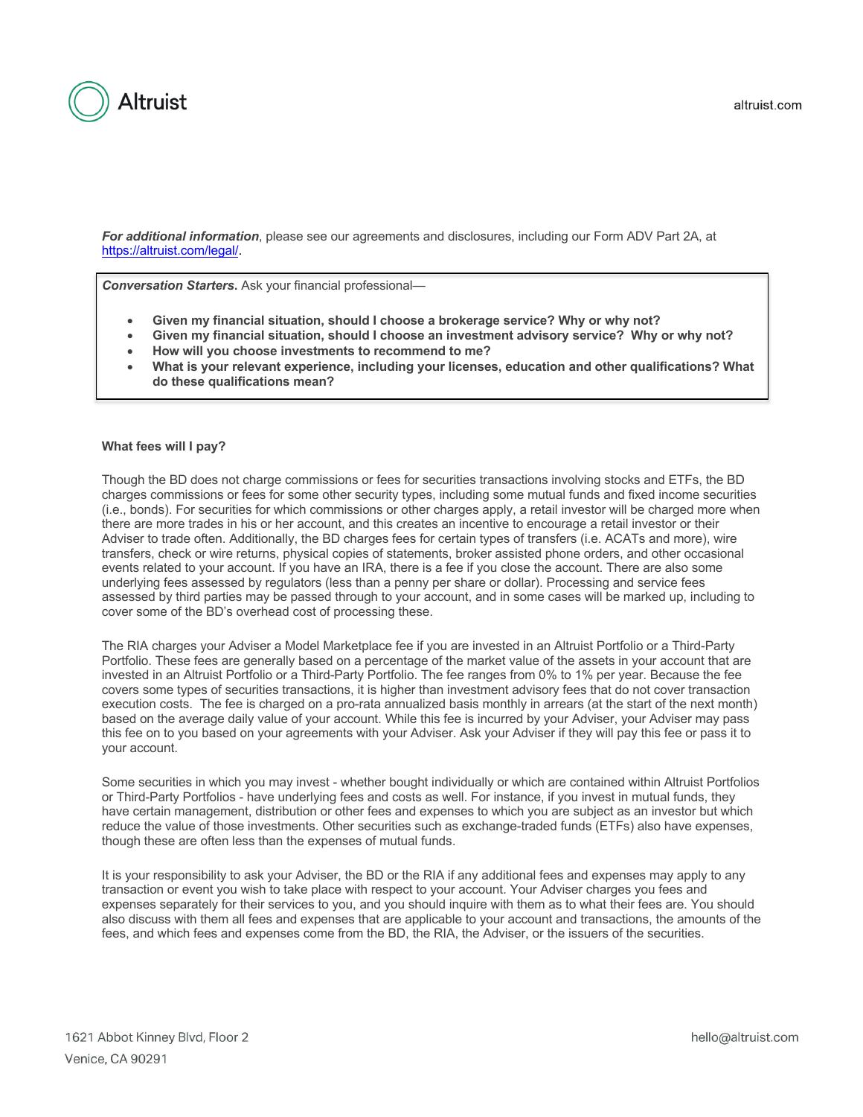

*For additional information*, please see our agreements and disclosures, including our Form ADV Part 2A, at https://altruist.com/legal/.

**Conversation Starters.** Ask your financial professional-

- **Given my financial situation, should I choose a brokerage service? Why or why not?**
- **Given my financial situation, should I choose an investment advisory service? Why or why not?**
- **How will you choose investments to recommend to me?**
- **What is your relevant experience, including your licenses, education and other qualifications? What do these qualifications mean?**

### **What fees will I pay?**

Though the BD does not charge commissions or fees for securities transactions involving stocks and ETFs, the BD charges commissions or fees for some other security types, including some mutual funds and fixed income securities (i.e., bonds). For securities for which commissions or other charges apply, a retail investor will be charged more when there are more trades in his or her account, and this creates an incentive to encourage a retail investor or their Adviser to trade often. Additionally, the BD charges fees for certain types of transfers (i.e. ACATs and more), wire transfers, check or wire returns, physical copies of statements, broker assisted phone orders, and other occasional events related to your account. If you have an IRA, there is a fee if you close the account. There are also some underlying fees assessed by regulators (less than a penny per share or dollar). Processing and service fees assessed by third parties may be passed through to your account, and in some cases will be marked up, including to cover some of the BD's overhead cost of processing these.

The RIA charges your Adviser a Model Marketplace fee if you are invested in an Altruist Portfolio or a Third-Party Portfolio. These fees are generally based on a percentage of the market value of the assets in your account that are invested in an Altruist Portfolio or a Third-Party Portfolio. The fee ranges from 0% to 1% per year. Because the fee covers some types of securities transactions, it is higher than investment advisory fees that do not cover transaction execution costs. The fee is charged on a pro-rata annualized basis monthly in arrears (at the start of the next month) based on the average daily value of your account. While this fee is incurred by your Adviser, your Adviser may pass this fee on to you based on your agreements with your Adviser. Ask your Adviser if they will pay this fee or pass it to your account.

Some securities in which you may invest - whether bought individually or which are contained within Altruist Portfolios or Third-Party Portfolios - have underlying fees and costs as well. For instance, if you invest in mutual funds, they have certain management, distribution or other fees and expenses to which you are subject as an investor but which reduce the value of those investments. Other securities such as exchange-traded funds (ETFs) also have expenses, though these are often less than the expenses of mutual funds.

It is your responsibility to ask your Adviser, the BD or the RIA if any additional fees and expenses may apply to any transaction or event you wish to take place with respect to your account. Your Adviser charges you fees and expenses separately for their services to you, and you should inquire with them as to what their fees are. You should also discuss with them all fees and expenses that are applicable to your account and transactions, the amounts of the fees, and which fees and expenses come from the BD, the RIA, the Adviser, or the issuers of the securities.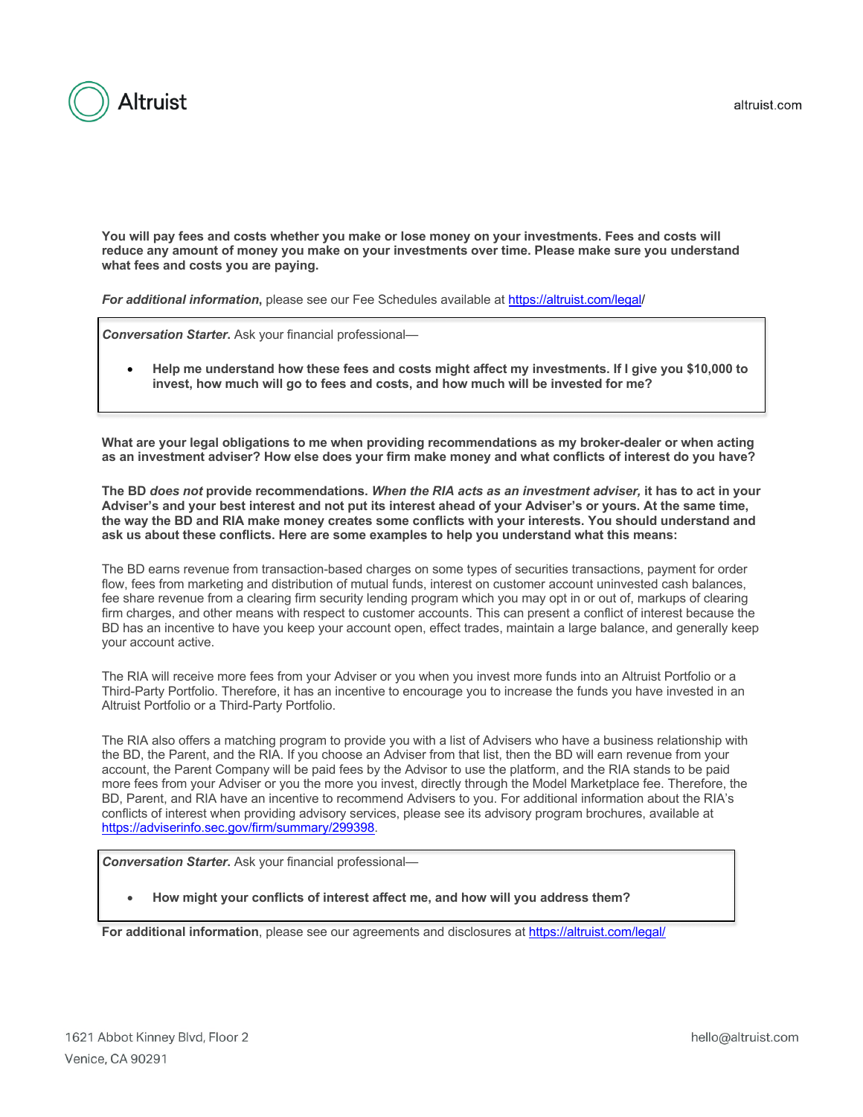

altruist.com

**You will pay fees and costs whether you make or lose money on your investments. Fees and costs will reduce any amount of money you make on your investments over time. Please make sure you understand what fees and costs you are paying.**

*For additional information***,** please see our Fee Schedules available at https://altruist.com/legal/

*Conversation Starter***.** Ask your financial professional—

• **Help me understand how these fees and costs might affect my investments. If I give you \$10,000 to invest, how much will go to fees and costs, and how much will be invested for me?**

**What are your legal obligations to me when providing recommendations as my broker-dealer or when acting as an investment adviser? How else does your firm make money and what conflicts of interest do you have?**

**The BD** *does not* **provide recommendations.** *When the RIA acts as an investment adviser,* **it has to act in your Adviser's and your best interest and not put its interest ahead of your Adviser's or yours. At the same time, the way the BD and RIA make money creates some conflicts with your interests. You should understand and ask us about these conflicts. Here are some examples to help you understand what this means:** 

The BD earns revenue from transaction-based charges on some types of securities transactions, payment for order flow, fees from marketing and distribution of mutual funds, interest on customer account uninvested cash balances, fee share revenue from a clearing firm security lending program which you may opt in or out of, markups of clearing firm charges, and other means with respect to customer accounts. This can present a conflict of interest because the BD has an incentive to have you keep your account open, effect trades, maintain a large balance, and generally keep your account active.

The RIA will receive more fees from your Adviser or you when you invest more funds into an Altruist Portfolio or a Third-Party Portfolio. Therefore, it has an incentive to encourage you to increase the funds you have invested in an Altruist Portfolio or a Third-Party Portfolio.

The RIA also offers a matching program to provide you with a list of Advisers who have a business relationship with the BD, the Parent, and the RIA. If you choose an Adviser from that list, then the BD will earn revenue from your account, the Parent Company will be paid fees by the Advisor to use the platform, and the RIA stands to be paid more fees from your Adviser or you the more you invest, directly through the Model Marketplace fee. Therefore, the BD, Parent, and RIA have an incentive to recommend Advisers to you. For additional information about the RIA's conflicts of interest when providing advisory services, please see its advisory program brochures, available at https://adviserinfo.sec.gov/firm/summary/299398.

**Conversation Starter.** Ask your financial professional-

• **How might your conflicts of interest affect me, and how will you address them?**

**For additional information**, please see our agreements and disclosures at https://altruist.com/legal/